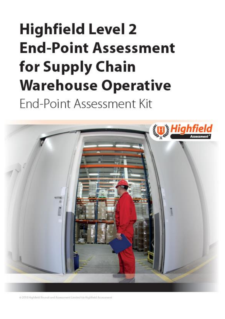# **Highfield Level 2 End-Point Assessment** for Supply Chain **Warehouse Operative**

End-Point Assessment Kit



<span id="page-0-1"></span><span id="page-0-0"></span>@ 2018 Highfield llequit and Assessment Limited t/a Highfield Auvestment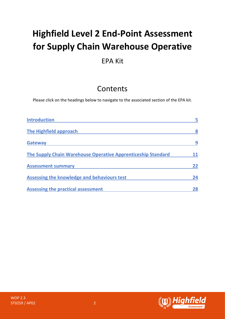## **Highfield Level 2 End-Point Assessment for Supply Chain Warehouse Operative**

## EPA Kit

## **Contents**

Please click on the headings below to navigate to the associated section of the EPA kit.

| <b>Introduction</b>                                          |    |
|--------------------------------------------------------------|----|
| The Highfield approach                                       | 8  |
| <b>Gateway</b>                                               | 9  |
| The Supply Chain Warehouse Operative Apprenticeship Standard |    |
| <b>Assessment summary</b>                                    | 22 |
| Assessing the knowledge and behaviours test                  | 24 |
| <b>Assessing the practical assessment</b>                    | 28 |

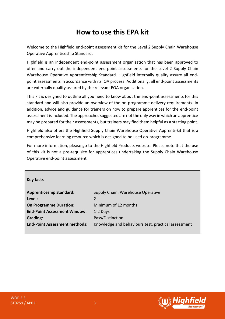## **How to use this EPA kit**

Welcome to the Highfield end-point assessment kit for the Level 2 Supply Chain Warehouse Operative Apprenticeship Standard.

Highfield is an independent end-point assessment organisation that has been approved to offer and carry out the independent end-point assessments for the Level 2 Supply Chain Warehouse Operative Apprenticeship Standard. Highfield internally quality assure all endpoint assessments in accordance with its IQA process. Additionally, all end-point assessments are externally quality assured by the relevant EQA organisation.

This kit is designed to outline all you need to know about the end-point assessments for this standard and will also provide an overview of the on-programme delivery requirements. In addition**,** advice and guidance for trainers on how to prepare apprentices for the end-point assessment is included. The approaches suggested are not the only way in which an apprentice may be prepared for their assessments, but trainers may find them helpful as a starting point.

Highfield also offers the Highfield Supply Chain Warehouse Operative Apprenti-kit that is a comprehensive learning resource which is designed to be used on-programme.

For more information, please go to the Highfield Products website. Please note that the use of this kit is not a pre-requisite for apprentices undertaking the Supply Chain Warehouse Operative end-point assessment.

| <b>Key facts</b>                     |                                                     |
|--------------------------------------|-----------------------------------------------------|
| <b>Apprenticeship standard:</b>      | Supply Chain: Warehouse Operative                   |
| Level:                               | 2                                                   |
| <b>On Programme Duration:</b>        | Minimum of 12 months                                |
| <b>End-Point Assessment Window:</b>  | 1-2 Days                                            |
| Grading:                             | Pass/Distinction                                    |
| <b>End-Point Assessment methods:</b> | Knowledge and behaviours test, practical assessment |
|                                      |                                                     |



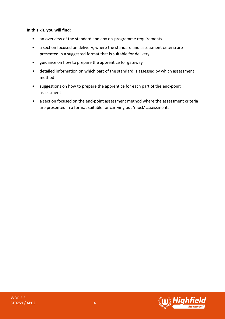#### **In this kit, you will find:**

- an overview of the standard and any on-programme requirements
- a section focused on delivery, where the standard and assessment criteria are presented in a suggested format that is suitable for delivery
- guidance on how to prepare the apprentice for gateway
- detailed information on which part of the standard is assessed by which assessment method
- suggestions on how to prepare the apprentice for each part of the end-point assessment
- a section focused on the end-point assessment method where the assessment criteria are presented in a format suitable for carrying out 'mock' assessments



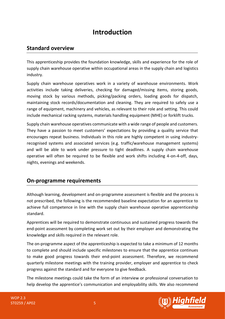## **Introduction**

## <span id="page-4-0"></span>**Standard overview**

This apprenticeship provides the foundation knowledge, skills and experience for the role of supply chain warehouse operative within occupational areas in the supply chain and logistics industry.

Supply chain warehouse operatives work in a variety of warehouse environments. Work activities include taking deliveries, checking for damaged/missing items, storing goods, moving stock by various methods, picking/packing orders, loading goods for dispatch, maintaining stock records/documentation and cleaning. They are required to safely use a range of equipment, machinery and vehicles, as relevant to their role and setting. This could include mechanical racking systems, materials handling equipment (MHE) or forklift trucks.

Supply chain warehouse operatives communicate with a wide range of people and customers. They have a passion to meet customers' expectations by providing a quality service that encourages repeat business. Individuals in this role are highly competent in using industryrecognised systems and associated services (e.g. traffic/warehouse management systems) and will be able to work under pressure to tight deadlines. A supply chain warehouse operative will often be required to be flexible and work shifts including 4-on-4-off, days, nights, evenings and weekends.

## **On-programme requirements**

Although learning, development and on-programme assessment is flexible and the process is not prescribed, the following is the recommended baseline expectation for an apprentice to achieve full competence in line with the supply chain warehouse operative apprenticeship standard.

Apprentices will be required to demonstrate continuous and sustained progress towards the end-point assessment by completing work set out by their employer and demonstrating the knowledge and skills required in the relevant role.

The on-programme aspect of the apprenticeship is expected to take a minimum of 12 months to complete and should include specific milestones to ensure that the apprentice continues to make good progress towards their end-point assessment. Therefore, we recommend quarterly milestone meetings with the training provider, employer and apprentice to check progress against the standard and for everyone to give feedback.

The milestone meetings could take the form of an interview or professional conversation to help develop the apprentice's communication and employability skills. We also recommend

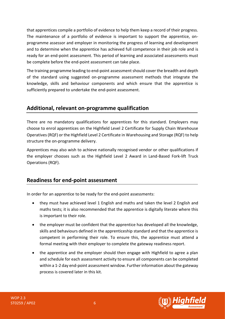that apprentices compile a portfolio of evidence to help them keep a record of their progress. The maintenance of a portfolio of evidence is important to support the apprentice, onprogramme assessor and employer in monitoring the progress of learning and development and to determine when the apprentice has achieved full competence in their job role and is ready for an end-point assessment. This period of learning and associated assessments must be complete before the end-point assessment can take place.

The training programme leading to end-point assessment should cover the breadth and depth of the standard using suggested on-programme assessment methods that integrate the knowledge, skills and behaviour components and which ensure that the apprentice is sufficiently prepared to undertake the end-point assessment.

## **Additional, relevant on-programme qualification**

There are no mandatory qualifications for apprentices for this standard. Employers may choose to enrol apprentices on the Highfield Level 2 Certificate for Supply Chain Warehouse Operatives (RQF) or the Highfield Level 2 Certificate in Warehousing and Storage (RQF) to help structure the on-programme delivery.

Apprentices may also wish to achieve nationally recognised vendor or other qualifications if the employer chooses such as the Highfield Level 2 Award in Land-Based Fork-lift Truck Operations (RQF).

## **Readiness for end-point assessment**

In order for an apprentice to be ready for the end-point assessments:

- they must have achieved level 1 English and maths and taken the level 2 English and maths tests; it is also recommended that the apprentice is digitally literate where this is important to their role.
- the employer must be confident that the apprentice has developed all the knowledge, skills and behaviours defined in the apprenticeship standard and that the apprentice is competent in performing their role. To ensure this, the apprentice must attend a formal meeting with their employer to complete the gateway readiness report.
- the apprentice and the employer should then engage with Highfield to agree a plan and schedule for each assessment activity to ensure all components can be completed within a 1-2 day end-point assessment window. Further information about the gateway process is covered later in this kit.

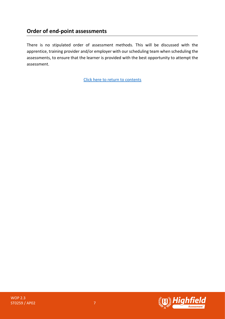## **Order of end-point assessments**

There is no stipulated order of assessment methods. This will be discussed with the apprentice, training provider and/or employer with our scheduling team when scheduling the assessments, to ensure that the learner is provided with the best opportunity to attempt the assessment.

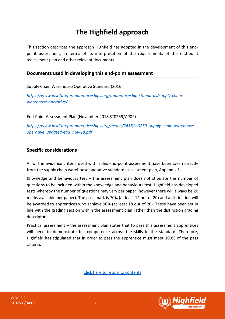## **The Highfield approach**

<span id="page-7-0"></span>This section describes the approach Highfield has adopted in the development of this endpoint assessment, in terms of its interpretation of the requirements of the end-point assessment plan and other relevant documents.

## **Documents used in developing this end-point assessment**

Supply Chain Warehouse Operative Standard (2016)

*[https://www.instituteforapprenticeships.org/apprenticeship-standards/supply-chain](https://www.instituteforapprenticeships.org/apprenticeship-standards/supply-chain-warehouse-operative/)[warehouse-operative/](https://www.instituteforapprenticeships.org/apprenticeship-standards/supply-chain-warehouse-operative/)*

End-Point Assessment Plan (November 2018 ST0259/AP02)

*[https://www.instituteforapprenticeships.org/media/2418/st0259\\_supply-chain-warehouse](https://www.instituteforapprenticeships.org/media/2418/st0259_supply-chain-warehouse-operative_updated-eqa_nov-18.pdf)[operative\\_updated-eqa\\_nov-18.pdf](https://www.instituteforapprenticeships.org/media/2418/st0259_supply-chain-warehouse-operative_updated-eqa_nov-18.pdf)*

## **Specific considerations**

All of the evidence criteria used within this end-point assessment have been taken directly from the supply chain warehouse operative standard: assessment plan, Appendix 1**.**

Knowledge and behaviours test  $-$  the assessment plan does not stipulate the number of questions to be included within the knowledge and behaviours test. Highfield has developed tests whereby the number of questions may vary per paper (however there will always be 20 marks available per paper). The pass mark is 70% (at least 14 out of 20) and a distinction will be awarded to apprentices who achieve 90% (at least 18 out of 20). These have been set in line with the grading section within the assessment plan rather than the distinction grading descriptors.

<span id="page-7-1"></span>Practical assessment – the assessment plan states that to pass this assessment apprentices will need to demonstrate full competence across the skills in the standard. Therefore, Highfield has stipulated that in order to pass the apprentice must meet 100% of the pass criteria.

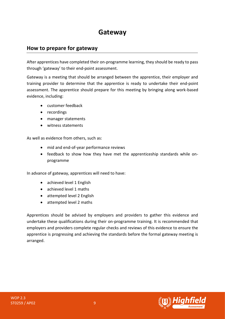## **Gateway**

## **How to prepare for gateway**

After apprentices have completed their on-programme learning, they should be ready to pass through 'gateway' to their end-point assessment.

Gateway is a meeting that should be arranged between the apprentice, their employer and training provider to determine that the apprentice is ready to undertake their end-point assessment. The apprentice should prepare for this meeting by bringing along work-based evidence, including:

- customer feedback
- recordings
- manager statements
- witness statements

As well as evidence from others, such as:

- mid and end-of-year performance reviews
- feedback to show how they have met the apprenticeship standards while onprogramme

In advance of gateway, apprentices will need to have:

- achieved level 1 English
- achieved level 1 maths
- attempted level 2 English
- attempted level 2 maths

Apprentices should be advised by employers and providers to gather this evidence and undertake these qualifications during their on-programme training. It is recommended that employers and providers complete regular checks and reviews of this evidence to ensure the apprentice is progressing and achieving the standards before the formal gateway meeting is arranged.

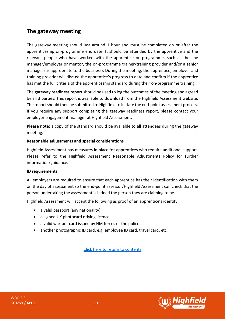## **The gateway meeting**

The gateway meeting should last around 1 hour and must be completed on or after the apprenticeship on-programme end date. It should be attended by the apprentice and the relevant people who have worked with the apprentice on-programme, such as the line manager/employer or mentor, the on-programme trainer/training provider and/or a senior manager (as appropriate to the business). During the meeting, the apprentice, employer and training provider will discuss the apprentice's progress to date and confirm if the apprentice has met the full criteria of the apprenticeship standard during their on-programme training.

The **gateway readiness report** should be used to log the outcomes of the meeting and agreed by all 3 parties. This report is available to download from the Highfield Assessment website. The report should then be submitted to Highfield to initiate the end-point assessment process. If you require any support completing the gateway readiness report, please contact your employer engagement manager at Highfield Assessment.

**Please note:** a copy of the standard should be available to all attendees during the gateway meeting.

#### **Reasonable adjustments and special considerations**

Highfield Assessment has measures in place for apprentices who require additional support. Please refer to the Highfield Assessment Reasonable Adjustments Policy for further information/guidance.

#### **ID requirements**

All employers are required to ensure that each apprentice has their identification with them on the day of assessment so the end-point assessor/Highfield Assessment can check that the person undertaking the assessment is indeed the person they are claiming to be.

Highfield Assessment will accept the following as proof of an apprentice's identity:

- a valid passport (any nationality)
- a signed UK photocard driving licence
- a valid warrant card issued by HM forces or the police
- another photographic ID card, e.g. employee ID card, travel card, etc.

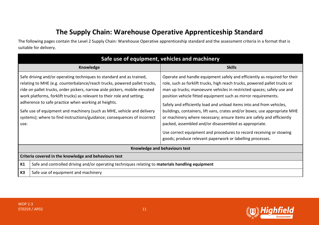## **The Supply Chain: Warehouse Operative Apprenticeship Standard**

The following pages contain the Level 2 Supply Chain: Warehouse Operative apprenticeship standard and the assessment criteria in a format that is suitable for delivery.

<span id="page-10-0"></span>

| Safe use of equipment, vehicles and machinery               |                                                                                                                                                                                                                                                                                                                                                                                                                                                                   |                                                                                                                                                                                                                                                                                                                                                                                                                                                                                                                                                                                                                                                                                                                                 |
|-------------------------------------------------------------|-------------------------------------------------------------------------------------------------------------------------------------------------------------------------------------------------------------------------------------------------------------------------------------------------------------------------------------------------------------------------------------------------------------------------------------------------------------------|---------------------------------------------------------------------------------------------------------------------------------------------------------------------------------------------------------------------------------------------------------------------------------------------------------------------------------------------------------------------------------------------------------------------------------------------------------------------------------------------------------------------------------------------------------------------------------------------------------------------------------------------------------------------------------------------------------------------------------|
|                                                             | <b>Knowledge</b>                                                                                                                                                                                                                                                                                                                                                                                                                                                  | <b>Skills</b>                                                                                                                                                                                                                                                                                                                                                                                                                                                                                                                                                                                                                                                                                                                   |
| adherence to safe practice when working at heights.<br>use. | Safe driving and/or operating techniques to standard and as trained,<br>relating to MHE (e.g. counterbalance/reach trucks, powered pallet trucks,<br>ride on pallet trucks, order pickers, narrow aisle pickers, mobile elevated<br>work platforms, forklift trucks) as relevant to their role and setting;<br>Safe use of equipment and machinery (such as MHE, vehicle and delivery<br>systems); where to find instructions/guidance; consequences of incorrect | Operate and handle equipment safely and efficiently as required for their<br>role, such as forklift trucks, high reach trucks, powered pallet trucks or<br>man up trucks; manoeuvre vehicles in restricted spaces; safely use and<br>position vehicle fitted equipment such as mirror requirements.<br>Safely and efficiently load and unload items into and from vehicles,<br>buildings, containers, lift vans, crates and/or boxes; use appropriate MHE<br>or machinery where necessary; ensure items are safely and efficiently<br>packed, assembled and/or disassembled as appropriate.<br>Use correct equipment and procedures to record receiving or stowing<br>goods; produce relevant paperwork or labelling processes. |
| Knowledge and behaviours test                               |                                                                                                                                                                                                                                                                                                                                                                                                                                                                   |                                                                                                                                                                                                                                                                                                                                                                                                                                                                                                                                                                                                                                                                                                                                 |
| Criteria covered in the knowledge and behaviours test       |                                                                                                                                                                                                                                                                                                                                                                                                                                                                   |                                                                                                                                                                                                                                                                                                                                                                                                                                                                                                                                                                                                                                                                                                                                 |
| K1                                                          | Safe and controlled driving and/or operating techniques relating to materials handling equipment                                                                                                                                                                                                                                                                                                                                                                  |                                                                                                                                                                                                                                                                                                                                                                                                                                                                                                                                                                                                                                                                                                                                 |
| K <sub>3</sub>                                              | Safe use of equipment and machinery                                                                                                                                                                                                                                                                                                                                                                                                                               |                                                                                                                                                                                                                                                                                                                                                                                                                                                                                                                                                                                                                                                                                                                                 |

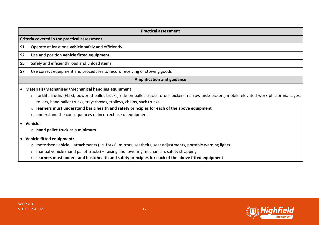|                | <b>Practical assessment</b>                                                                                                                                                                                                                                                                                                                                                                                                                                         |  |  |
|----------------|---------------------------------------------------------------------------------------------------------------------------------------------------------------------------------------------------------------------------------------------------------------------------------------------------------------------------------------------------------------------------------------------------------------------------------------------------------------------|--|--|
|                | Criteria covered in the practical assessment                                                                                                                                                                                                                                                                                                                                                                                                                        |  |  |
| S <sub>1</sub> | Operate at least one vehicle safely and efficiently                                                                                                                                                                                                                                                                                                                                                                                                                 |  |  |
| <b>S2</b>      | Use and position vehicle fitted equipment                                                                                                                                                                                                                                                                                                                                                                                                                           |  |  |
| S <sub>5</sub> | Safely and efficiently load and unload items                                                                                                                                                                                                                                                                                                                                                                                                                        |  |  |
| <b>S7</b>      | Use correct equipment and procedures to record receiving or stowing goods                                                                                                                                                                                                                                                                                                                                                                                           |  |  |
|                | <b>Amplification and guidance</b>                                                                                                                                                                                                                                                                                                                                                                                                                                   |  |  |
|                | • Materials/Mechanised/Mechanical handling equipment:<br>○ forklift Trucks (FLTs), powered pallet trucks, ride on pallet trucks, order pickers, narrow aisle pickers, mobile elevated work platforms, cages,<br>rollers, hand pallet trucks, trays/boxes, trolleys, chains, sack trucks<br>$\circ$ learners must understand basic health and safety principles for each of the above equipment<br>$\circ$ understand the consequences of incorrect use of equipment |  |  |
|                | • Vehicle:                                                                                                                                                                                                                                                                                                                                                                                                                                                          |  |  |
|                | $\circ$ hand pallet truck as a minimum                                                                                                                                                                                                                                                                                                                                                                                                                              |  |  |
|                | • Vehicle fitted equipment:                                                                                                                                                                                                                                                                                                                                                                                                                                         |  |  |
|                | $\circ$ motorised vehicle – attachments (i.e. forks), mirrors, seatbelts, seat adjustments, portable warning lights                                                                                                                                                                                                                                                                                                                                                 |  |  |
|                | $\circ$ manual vehicle (hand pallet trucks) – raising and lowering mechanism, safety strapping                                                                                                                                                                                                                                                                                                                                                                      |  |  |
|                | learners must understand basic health and safety principles for each of the above fitted equipment<br>$\circ$                                                                                                                                                                                                                                                                                                                                                       |  |  |

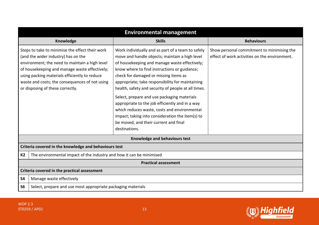| <b>Environmental management</b>                                                                                                                                                                                                                                                                                                  |                                                                                                                                                                                                                                                                                                                                                                                                                                                                                                                                                                                                                          |                                                                                             |  |
|----------------------------------------------------------------------------------------------------------------------------------------------------------------------------------------------------------------------------------------------------------------------------------------------------------------------------------|--------------------------------------------------------------------------------------------------------------------------------------------------------------------------------------------------------------------------------------------------------------------------------------------------------------------------------------------------------------------------------------------------------------------------------------------------------------------------------------------------------------------------------------------------------------------------------------------------------------------------|---------------------------------------------------------------------------------------------|--|
| Knowledge                                                                                                                                                                                                                                                                                                                        | <b>Skills</b>                                                                                                                                                                                                                                                                                                                                                                                                                                                                                                                                                                                                            | <b>Behaviours</b>                                                                           |  |
| Steps to take to minimise the effect their work<br>(and the wider industry) has on the<br>environment; the need to maintain a high level<br>of housekeeping and manage waste effectively;<br>using packing materials efficiently to reduce<br>waste and costs; the consequences of not using<br>or disposing of these correctly. | Work individually and as part of a team to safely<br>move and handle objects; maintain a high level<br>of housekeeping and manage waste effectively;<br>know where to find instructions or guidance;<br>check for damaged or missing items as<br>appropriate; take responsibility for maintaining<br>health, safety and security of people at all times.<br>Select, prepare and use packaging materials<br>appropriate to the job efficiently and in a way<br>which reduces waste, costs and environmental<br>impact; taking into consideration the item(s) to<br>be moved, and their current and final<br>destinations. | Show personal commitment to minimising the<br>effect of work activities on the environment. |  |
| Knowledge and behaviours test                                                                                                                                                                                                                                                                                                    |                                                                                                                                                                                                                                                                                                                                                                                                                                                                                                                                                                                                                          |                                                                                             |  |
| Criteria covered in the knowledge and behaviours test                                                                                                                                                                                                                                                                            |                                                                                                                                                                                                                                                                                                                                                                                                                                                                                                                                                                                                                          |                                                                                             |  |
| K <sub>2</sub>                                                                                                                                                                                                                                                                                                                   | The environmental impact of the industry and how it can be minimised                                                                                                                                                                                                                                                                                                                                                                                                                                                                                                                                                     |                                                                                             |  |
| <b>Practical assessment</b>                                                                                                                                                                                                                                                                                                      |                                                                                                                                                                                                                                                                                                                                                                                                                                                                                                                                                                                                                          |                                                                                             |  |
| Criteria covered in the practical assessment                                                                                                                                                                                                                                                                                     |                                                                                                                                                                                                                                                                                                                                                                                                                                                                                                                                                                                                                          |                                                                                             |  |
| <b>S4</b><br>Manage waste effectively                                                                                                                                                                                                                                                                                            |                                                                                                                                                                                                                                                                                                                                                                                                                                                                                                                                                                                                                          |                                                                                             |  |
| Select, prepare and use most appropriate packaging materials                                                                                                                                                                                                                                                                     |                                                                                                                                                                                                                                                                                                                                                                                                                                                                                                                                                                                                                          |                                                                                             |  |

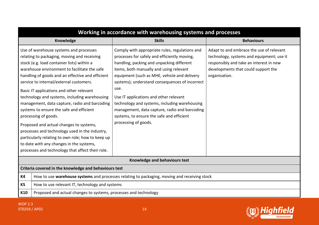|                | Working in accordance with warehousing systems and processes                                                                                                                                                                                                                                                                                                                                                                                                                                                                                                                                                                                                                                                                                           |                                                                                                                                                                                                                                                                                                                                                                                                                                                                                                                   |                                                                                                                                                                                          |
|----------------|--------------------------------------------------------------------------------------------------------------------------------------------------------------------------------------------------------------------------------------------------------------------------------------------------------------------------------------------------------------------------------------------------------------------------------------------------------------------------------------------------------------------------------------------------------------------------------------------------------------------------------------------------------------------------------------------------------------------------------------------------------|-------------------------------------------------------------------------------------------------------------------------------------------------------------------------------------------------------------------------------------------------------------------------------------------------------------------------------------------------------------------------------------------------------------------------------------------------------------------------------------------------------------------|------------------------------------------------------------------------------------------------------------------------------------------------------------------------------------------|
|                | Knowledge                                                                                                                                                                                                                                                                                                                                                                                                                                                                                                                                                                                                                                                                                                                                              | <b>Skills</b>                                                                                                                                                                                                                                                                                                                                                                                                                                                                                                     | <b>Behaviours</b>                                                                                                                                                                        |
|                | Use of warehouse systems and processes<br>relating to packaging, moving and receiving<br>stock (e.g. load container lists) within a<br>warehouse environment to facilitate the safe<br>handling of goods and an effective and efficient<br>service to internal/external customers.<br>Basic IT applications and other relevant<br>technology and systems, including warehousing<br>management, data capture, radio and barcoding<br>systems to ensure the safe and efficient<br>processing of goods.<br>Proposed and actual changes to systems,<br>processes and technology used in the industry,<br>particularly relating to own role; how to keep up<br>to date with any changes in the systems,<br>processes and technology that affect their role. | Comply with appropriate rules, regulations and<br>processes for safely and efficiently moving,<br>handling, packing and unpacking different<br>items, both manually and using relevant<br>equipment (such as MHE, vehicle and delivery<br>systems); understand consequences of incorrect<br>use.<br>Use IT applications and other relevant<br>technology and systems, including warehousing<br>management, data capture, radio and barcoding<br>systems, to ensure the safe and efficient<br>processing of goods. | Adapt to and embrace the use of relevant<br>technology, systems and equipment; use it<br>responsibly and take an interest in new<br>developments that could support the<br>organisation. |
|                |                                                                                                                                                                                                                                                                                                                                                                                                                                                                                                                                                                                                                                                                                                                                                        | Knowledge and behaviours test                                                                                                                                                                                                                                                                                                                                                                                                                                                                                     |                                                                                                                                                                                          |
|                | Criteria covered in the knowledge and behaviours test                                                                                                                                                                                                                                                                                                                                                                                                                                                                                                                                                                                                                                                                                                  |                                                                                                                                                                                                                                                                                                                                                                                                                                                                                                                   |                                                                                                                                                                                          |
| <b>K4</b>      |                                                                                                                                                                                                                                                                                                                                                                                                                                                                                                                                                                                                                                                                                                                                                        | How to use warehouse systems and processes relating to packaging, moving and receiving stock                                                                                                                                                                                                                                                                                                                                                                                                                      |                                                                                                                                                                                          |
| K <sub>5</sub> | How to use relevant IT, technology and systems                                                                                                                                                                                                                                                                                                                                                                                                                                                                                                                                                                                                                                                                                                         |                                                                                                                                                                                                                                                                                                                                                                                                                                                                                                                   |                                                                                                                                                                                          |
| K10            | Proposed and actual changes to systems, processes and technology                                                                                                                                                                                                                                                                                                                                                                                                                                                                                                                                                                                                                                                                                       |                                                                                                                                                                                                                                                                                                                                                                                                                                                                                                                   |                                                                                                                                                                                          |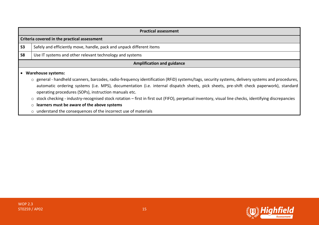|                | <b>Practical assessment</b>                                                                                                                                                                                                                                                                                                                        |  |  |
|----------------|----------------------------------------------------------------------------------------------------------------------------------------------------------------------------------------------------------------------------------------------------------------------------------------------------------------------------------------------------|--|--|
|                | Criteria covered in the practical assessment                                                                                                                                                                                                                                                                                                       |  |  |
| S <sub>3</sub> | Safely and efficiently move, handle, pack and unpack different items                                                                                                                                                                                                                                                                               |  |  |
| <b>S8</b>      | Use IT systems and other relevant technology and systems                                                                                                                                                                                                                                                                                           |  |  |
|                | <b>Amplification and guidance</b>                                                                                                                                                                                                                                                                                                                  |  |  |
|                | <b>Warehouse systems:</b>                                                                                                                                                                                                                                                                                                                          |  |  |
|                | o general - handheld scanners, barcodes, radio-frequency identification (RFiD) systems/tags, security systems, delivery systems and procedures,<br>automatic ordering systems (i.e. MPS), documentation (i.e. internal dispatch sheets, pick sheets, pre-shift check paperwork), standard<br>operating procedures (SOPs), instruction manuals etc. |  |  |
|                | stock checking - industry-recognised stock rotation – first in first out (FIFO), perpetual inventory, visual line checks, identifying discrepancies<br>$\circ$                                                                                                                                                                                     |  |  |
|                | learners must be aware of the above systems<br>$\circ$                                                                                                                                                                                                                                                                                             |  |  |
|                | o understand the consequences of the incorrect use of materials                                                                                                                                                                                                                                                                                    |  |  |

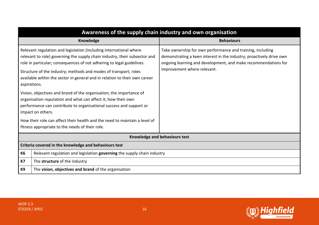| Awareness of the supply chain industry and own organisation                                                                                                                                                                                                                                                                                                                                 |                                                                                                                                                                                                                                     |  |
|---------------------------------------------------------------------------------------------------------------------------------------------------------------------------------------------------------------------------------------------------------------------------------------------------------------------------------------------------------------------------------------------|-------------------------------------------------------------------------------------------------------------------------------------------------------------------------------------------------------------------------------------|--|
| <b>Knowledge</b>                                                                                                                                                                                                                                                                                                                                                                            | <b>Behaviours</b>                                                                                                                                                                                                                   |  |
| Relevant regulation and legislation (including international where<br>relevant to role) governing the supply chain industry, their subsector and<br>role in particular; consequences of not adhering to legal guidelines.<br>Structure of the industry; methods and modes of transport; roles<br>available within the sector in general and in relation to their own career<br>aspirations. | Take ownership for own performance and training, including<br>demonstrating a keen interest in the industry; proactively drive own<br>ongoing learning and development, and make recommendations for<br>improvement where relevant. |  |
| Vision, objectives and brand of the organisation; the importance of<br>organisation reputation and what can affect it; how their own<br>performance can contribute to organisational success and support or<br>impact on others.                                                                                                                                                            |                                                                                                                                                                                                                                     |  |
| How their role can affect their health and the need to maintain a level of<br>fitness appropriate to the needs of their role.                                                                                                                                                                                                                                                               |                                                                                                                                                                                                                                     |  |
| Knowledge and behaviours test                                                                                                                                                                                                                                                                                                                                                               |                                                                                                                                                                                                                                     |  |
| Criteria covered in the knowledge and behaviours test                                                                                                                                                                                                                                                                                                                                       |                                                                                                                                                                                                                                     |  |
| Relevant regulation and legislation governing the supply chain industry<br>К6                                                                                                                                                                                                                                                                                                               |                                                                                                                                                                                                                                     |  |
| <b>K7</b><br>The structure of the industry                                                                                                                                                                                                                                                                                                                                                  |                                                                                                                                                                                                                                     |  |
| K9<br>The vision, objectives and brand of the organisation                                                                                                                                                                                                                                                                                                                                  |                                                                                                                                                                                                                                     |  |

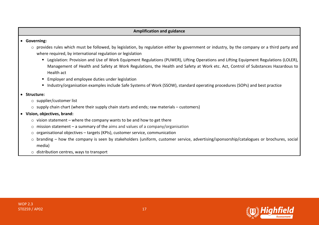#### **Amplification and guidance**

#### • **Governing:**

- o provides rules which must be followed, by legislation, by regulation either by government or industry, by the company or a third party and where required, by international regulation or legislation
	- Legislation: Provision and Use of Work Equipment Regulations (PUWER), Lifting Operations and Lifting Equipment Regulations (LOLER), Management of Health and Safety at Work Regulations, the Health and Safety at Work etc. Act, Control of Substances Hazardous to Health act
	- Employer and employee duties under legislation
	- Industry/organisation examples include Safe Systems of Work (SSOW), standard operating procedures (SOPs) and best practice

#### • **Structure:**

- o supplier/customer list
- $\circ$  supply chain chart (where their supply chain starts and ends; raw materials customers)
- **Vision, objectives, brand:**
	- $\circ$  vision statement where the company wants to be and how to get there
	- o mission statement a summary of the aims and values of a company/organisation
	- o organisational objectives targets (KPIs), customer service, communication
	- o branding how the company is seen by stakeholders (uniform, customer service, advertising/sponsorship/catalogues or brochures, social media)
	- o distribution centres, ways to transport

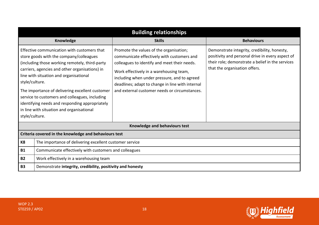| <b>Building relationships</b>                         |                                                                                                                                                                                                                                                                                                                                                                                                                                          |                                                                                                                                                                                                                                                                                                                                       |                                                                                                                                                                                       |
|-------------------------------------------------------|------------------------------------------------------------------------------------------------------------------------------------------------------------------------------------------------------------------------------------------------------------------------------------------------------------------------------------------------------------------------------------------------------------------------------------------|---------------------------------------------------------------------------------------------------------------------------------------------------------------------------------------------------------------------------------------------------------------------------------------------------------------------------------------|---------------------------------------------------------------------------------------------------------------------------------------------------------------------------------------|
|                                                       | Knowledge                                                                                                                                                                                                                                                                                                                                                                                                                                | <b>Skills</b>                                                                                                                                                                                                                                                                                                                         | <b>Behaviours</b>                                                                                                                                                                     |
| style/culture.<br>style/culture.                      | Effective communication with customers that<br>store goods with the company/colleagues<br>(including those working remotely, third-party<br>carriers, agencies and other organisations) in<br>line with situation and organisational<br>The importance of delivering excellent customer<br>service to customers and colleagues, including<br>identifying needs and responding appropriately<br>in line with situation and organisational | Promote the values of the organisation;<br>communicate effectively with customers and<br>colleagues to identify and meet their needs.<br>Work effectively in a warehousing team,<br>including when under pressure, and to agreed<br>deadlines; adapt to change in line with internal<br>and external customer needs or circumstances. | Demonstrate integrity, credibility, honesty,<br>positivity and personal drive in every aspect of<br>their role; demonstrate a belief in the services<br>that the organisation offers. |
|                                                       |                                                                                                                                                                                                                                                                                                                                                                                                                                          | Knowledge and behaviours test                                                                                                                                                                                                                                                                                                         |                                                                                                                                                                                       |
| Criteria covered in the knowledge and behaviours test |                                                                                                                                                                                                                                                                                                                                                                                                                                          |                                                                                                                                                                                                                                                                                                                                       |                                                                                                                                                                                       |
| K <sub>8</sub>                                        | The importance of delivering excellent customer service                                                                                                                                                                                                                                                                                                                                                                                  |                                                                                                                                                                                                                                                                                                                                       |                                                                                                                                                                                       |
| <b>B1</b>                                             | Communicate effectively with customers and colleagues                                                                                                                                                                                                                                                                                                                                                                                    |                                                                                                                                                                                                                                                                                                                                       |                                                                                                                                                                                       |
| <b>B2</b>                                             | Work effectively in a warehousing team                                                                                                                                                                                                                                                                                                                                                                                                   |                                                                                                                                                                                                                                                                                                                                       |                                                                                                                                                                                       |
| <b>B3</b>                                             | Demonstrate integrity, credibility, positivity and honesty                                                                                                                                                                                                                                                                                                                                                                               |                                                                                                                                                                                                                                                                                                                                       |                                                                                                                                                                                       |

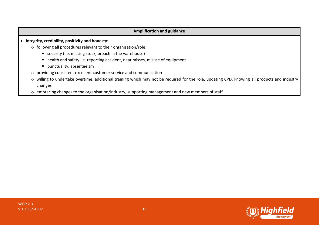#### **Amplification and guidance**

- **Integrity, credibility, positivity and honesty:**
	- o following all procedures relevant to their organisation/role:
		- security (i.e. missing stock, breach in the warehouse)
		- health and safety i.e. reporting accident, near misses, misuse of equipment
		- punctuality, absenteeism
	- o providing consistent excellent customer service and communication
	- o willing to undertake overtime, additional training which may not be required for the role, updating CPD, knowing all products and industry changes
	- o embracing changes to the organisation/industry, supporting management and new members of staff

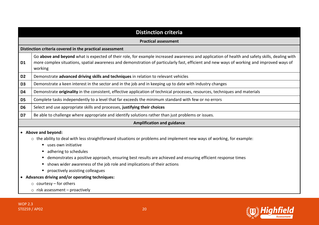|                | <b>Distinction criteria</b>                                                                                                                                                                                                                                                                                                                                                                                          |  |
|----------------|----------------------------------------------------------------------------------------------------------------------------------------------------------------------------------------------------------------------------------------------------------------------------------------------------------------------------------------------------------------------------------------------------------------------|--|
|                | <b>Practical assessment</b>                                                                                                                                                                                                                                                                                                                                                                                          |  |
|                | Distinction criteria covered in the practical assessment                                                                                                                                                                                                                                                                                                                                                             |  |
| D <sub>1</sub> | Go above and beyond what is expected of their role, for example increased awareness and application of health and safety skills, dealing with<br>more complex situations, spatial awareness and demonstration of particularly fast, efficient and new ways of working and improved ways of<br>working                                                                                                                |  |
| D <sub>2</sub> | Demonstrate advanced driving skills and techniques in relation to relevant vehicles                                                                                                                                                                                                                                                                                                                                  |  |
| D <sub>3</sub> | Demonstrate a keen interest in the sector and in the job and in keeping up to date with industry changes                                                                                                                                                                                                                                                                                                             |  |
| D4             | Demonstrate originality in the consistent, effective application of technical processes, resources, techniques and materials                                                                                                                                                                                                                                                                                         |  |
| D <sub>5</sub> | Complete tasks independently to a level that far exceeds the minimum standard with few or no errors                                                                                                                                                                                                                                                                                                                  |  |
| D <sub>6</sub> | Select and use appropriate skills and processes, justifying their choices                                                                                                                                                                                                                                                                                                                                            |  |
| D7             | Be able to challenge where appropriate and identify solutions rather than just problems or issues.                                                                                                                                                                                                                                                                                                                   |  |
|                | <b>Amplification and guidance</b>                                                                                                                                                                                                                                                                                                                                                                                    |  |
|                | • Above and beyond:                                                                                                                                                                                                                                                                                                                                                                                                  |  |
|                | o the ability to deal with less straightforward situations or problems and implement new ways of working, for example:<br>uses own initiative<br>ш<br>adhering to schedules<br>demonstrates a positive approach, ensuring best results are achieved and ensuring efficient response times<br>ш<br>shows wider awareness of the job role and implications of their actions<br>ш<br>• proactively assisting colleagues |  |
|                | • Advances driving and/or operating techniques:                                                                                                                                                                                                                                                                                                                                                                      |  |
|                | $\circ$ courtesy – for others                                                                                                                                                                                                                                                                                                                                                                                        |  |

o risk assessment – proactively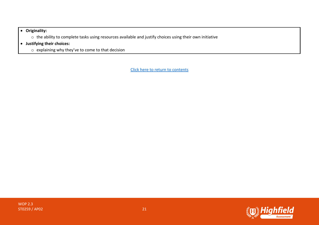#### • **Originality:**

- o the ability to complete tasks using resources available and justify choices using their own initiative
- **Justifying their choices:**
	- o explaining why they've to come to that decision

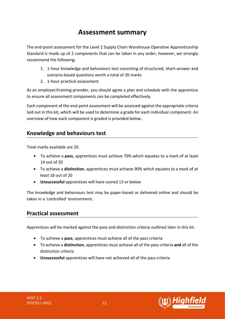## **Assessment summary**

<span id="page-21-0"></span>The end-point assessment for the Level 2 Supply Chain Warehouse Operative Apprenticeship Standard is made up of 2 components that can be taken in any order, however, we strongly recommend the following:

- 1. 1-hour knowledge and behaviours test consisting of structured, short-answer and scenario-based questions worth a total of 20 marks
- 2. 1-hour practical assessment

As an employer/training provider, you should agree a plan and schedule with the apprentice to ensure all assessment components can be completed effectively.

Each component of the end-point assessment will be assessed against the appropriate criteria laid out in this kit, which will be used to determine a grade for each individual component. An overview of how each component is graded is provided below.

## **Knowledge and behaviours test**

Total marks available are 20.

- To achieve a **pass**, apprentices must achieve 70% which equates to a mark of at least 14 out of 20
- To achieve a **distinction**, apprentices must achieve 90% which equates to a mark of at least 18 out of 20
- **Unsuccessful** apprentices will have scored 13 or below

The knowledge and behaviours test may be paper-based or delivered online and should be taken in a 'controlled' environment.

## **Practical assessment**

Apprentices will be marked against the pass and distinction criteria outlined later in this kit.

- To achieve a **pass**, apprentices must achieve all of the pass criteria
- To achieve a **distinction**, apprentices must achieve all of the pass criteria **and** all of the distinction criteria
- **Unsuccessful** apprentices will have not achieved all of the pass criteria



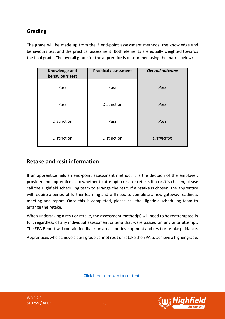## **Grading**

The grade will be made up from the 2 end-point assessment methods: the knowledge and behaviours test and the practical assessment. Both elements are equally weighted towards the final grade. The overall grade for the apprentice is determined using the matrix below:

| Knowledge and<br>behaviours test | <b>Practical assessment</b> | <b>Overall outcome</b> |
|----------------------------------|-----------------------------|------------------------|
| Pass                             | Pass                        | Pass                   |
| Pass                             | Distinction                 | Pass                   |
| Distinction                      | Pass                        | Pass                   |
| Distinction                      | Distinction                 | <b>Distinction</b>     |

## **Retake and resit information**

If an apprentice fails an end-point assessment method, it is the decision of the employer, provider and apprentice as to whether to attempt a resit or retake. If a **resit** is chosen, please call the Highfield scheduling team to arrange the resit. If a **retake** is chosen, the apprentice will require a period of further learning and will need to complete a new gateway readiness meeting and report. Once this is completed, please call the Highfield scheduling team to arrange the retake.

When undertaking a resit or retake, the assessment method(s) will need to be reattempted in full, regardless of any individual assessment criteria that were passed on any prior attempt. The EPA Report will contain feedback on areas for development and resit or retake guidance.

Apprentices who achieve a pass grade cannot resit or retake the EPA to achieve a higher grade.

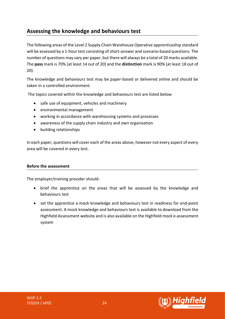## <span id="page-23-0"></span>**Assessing the knowledge and behaviours test**

The following areas of the Level 2 Supply Chain Warehouse Operative apprenticeship standard will be assessed by a 1-hour test consisting of short-answer and scenario-based questions. The number of questions may vary per paper, but there will always be a total of 20 marks available. The **pass** mark is 70% (at least 14 out of 20) and the **distinction** mark is 90% (at least 18 out of 20).

The knowledge and behaviours test may be paper-based or delivered online and should be taken in a controlled environment.

The topics covered within the knowledge and behaviours test are listed below:

- safe use of equipment, vehicles and machinery
- environmental management
- working in accordance with warehousing systems and processes
- awareness of the supply chain industry and own organisation
- building relationships

In each paper, questions will cover each of the areas above, however not every aspect of every area will be covered in every test.

#### **Before the assessment**

The employer/training provider should:

- brief the apprentice on the areas that will be assessed by the knowledge and behaviours test
- set the apprentice a mock knowledge and behaviours test in readiness for end-point assessment. A mock knowledge and behaviours test is available to download from the Highfield Assessment website and is also available on the Highfield mock e-assessment system

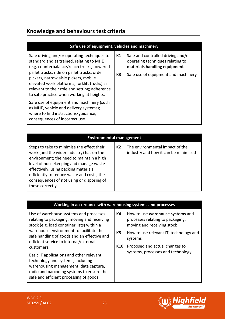## **Knowledge and behaviours test criteria**

|                                                                                                                                                                                                                                                                                                                                | Safe use of equipment, vehicles and machinery                                                                                                             |
|--------------------------------------------------------------------------------------------------------------------------------------------------------------------------------------------------------------------------------------------------------------------------------------------------------------------------------|-----------------------------------------------------------------------------------------------------------------------------------------------------------|
| Safe driving and/or operating techniques to<br>standard and as trained, relating to MHE<br>(e.g. counterbalance/reach trucks, powered<br>pallet trucks, ride on pallet trucks, order<br>pickers, narrow aisle pickers, mobile<br>elevated work platforms, forklift trucks) as<br>relevant to their role and setting; adherence | Safe and controlled driving and/or<br>K1<br>operating techniques relating to<br>materials handling equipment<br>K3<br>Safe use of equipment and machinery |
| to safe practice when working at heights.<br>Safe use of equipment and machinery (such<br>as MHE, vehicle and delivery systems);<br>where to find instructions/guidance;<br>consequences of incorrect use.                                                                                                                     |                                                                                                                                                           |

| <b>Environmental management</b>                                                                                                                                                                                                                                                                                                     |                                                                               |  |  |
|-------------------------------------------------------------------------------------------------------------------------------------------------------------------------------------------------------------------------------------------------------------------------------------------------------------------------------------|-------------------------------------------------------------------------------|--|--|
| Steps to take to minimise the effect their<br>work (and the wider industry) has on the<br>environment; the need to maintain a high<br>level of housekeeping and manage waste<br>effectively; using packing materials<br>efficiently to reduce waste and costs; the<br>consequences of not using or disposing of<br>these correctly. | The environmental impact of the<br>K2<br>industry and how it can be minimised |  |  |

#### **Working in accordance with warehousing systems and processes**

Use of warehouse systems and processes relating to packaging, moving and receiving stock (e.g. load container lists) within a warehouse environment to facilitate the safe handling of goods and an effective and efficient service to internal/external customers.

Basic IT applications and other relevant technology and systems, including warehousing management, data capture, radio and barcoding systems to ensure the safe and efficient processing of goods.

#### **K4** How to use **warehouse systems** and processes relating to packaging, moving and receiving stock

- **K5** How to use relevant IT, technology and systems
- **K10** Proposed and actual changes to systems, processes and technology

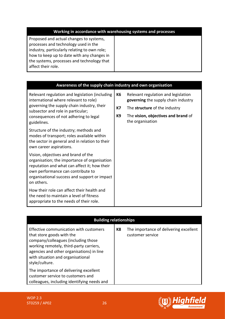| Working in accordance with warehousing systems and processes |  |
|--------------------------------------------------------------|--|
|--------------------------------------------------------------|--|

Proposed and actual changes to systems, processes and technology used in the industry, particularly relating to own role; how to keep up to date with any changes in the systems, processes and technology that affect their role.

| Awareness of the supply chain industry and own organisation                                                                                                                                                                            |    |                                                                            |  |
|----------------------------------------------------------------------------------------------------------------------------------------------------------------------------------------------------------------------------------------|----|----------------------------------------------------------------------------|--|
| Relevant regulation and legislation (including<br>international where relevant to role)<br>governing the supply chain industry, their<br>subsector and role in particular;                                                             | К6 | Relevant regulation and legislation<br>governing the supply chain industry |  |
|                                                                                                                                                                                                                                        | К7 | The structure of the industry                                              |  |
| consequences of not adhering to legal<br>guidelines.                                                                                                                                                                                   | K9 | The vision, objectives and brand of<br>the organisation                    |  |
| Structure of the industry; methods and<br>modes of transport; roles available within<br>the sector in general and in relation to their<br>own career aspirations.                                                                      |    |                                                                            |  |
| Vision, objectives and brand of the<br>organisation; the importance of organisation<br>reputation and what can affect it; how their<br>own performance can contribute to<br>organisational success and support or impact<br>on others. |    |                                                                            |  |
| How their role can affect their health and<br>the need to maintain a level of fitness<br>appropriate to the needs of their role.                                                                                                       |    |                                                                            |  |

| <b>Building relationships</b>                                                                                                                                                                                                                             |    |                                                            |  |
|-----------------------------------------------------------------------------------------------------------------------------------------------------------------------------------------------------------------------------------------------------------|----|------------------------------------------------------------|--|
| Effective communication with customers<br>that store goods with the<br>company/colleagues (including those<br>working remotely, third-party carriers,<br>agencies and other organisations) in line<br>with situation and organisational<br>style/culture. | K8 | The importance of delivering excellent<br>customer service |  |
| The importance of delivering excellent<br>customer service to customers and<br>colleagues, including identifying needs and                                                                                                                                |    |                                                            |  |

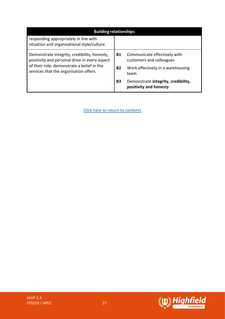| <b>Building relationships</b>                                                                                                                                                         |           |                                                               |
|---------------------------------------------------------------------------------------------------------------------------------------------------------------------------------------|-----------|---------------------------------------------------------------|
| responding appropriately in line with<br>situation and organisational style/culture.                                                                                                  |           |                                                               |
| Demonstrate integrity, credibility, honesty,<br>positivity and personal drive in every aspect<br>of their role; demonstrate a belief in the<br>services that the organisation offers. | <b>B1</b> | Communicate effectively with<br>customers and colleagues      |
|                                                                                                                                                                                       | <b>B2</b> | Work effectively in a warehousing<br>team                     |
|                                                                                                                                                                                       | B3        | Demonstrate integrity, credibility,<br>positivity and honesty |



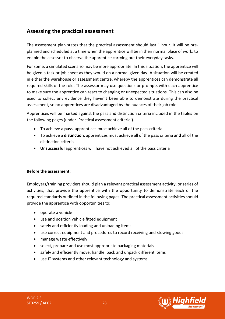## <span id="page-27-0"></span>**Assessing the practical assessment**

The assessment plan states that the practical assessment should last 1 hour. It will be preplanned and scheduled at a time when the apprentice will be in their normal place of work, to enable the assessor to observe the apprentice carrying out their everyday tasks.

For some, a simulated scenario may be more appropriate. In this situation, the apprentice will be given a task or job sheet as they would on a normal given day. A situation will be created in either the warehouse or assessment centre, whereby the apprentices can demonstrate all required skills of the role. The assessor may use questions or prompts with each apprentice to make sure the apprentice can react to changing or unexpected situations. This can also be used to collect any evidence they haven't been able to demonstrate during the practical assessment, so no apprentices are disadvantaged by the nuances of their job role.

Apprentices will be marked against the pass and distinction criteria included in the tables on the following pages (under 'Practical assessment criteria').

- To achieve a **pass**, apprentices must achieve all of the pass criteria
- To achieve a **distinction**, apprentices must achieve all of the pass criteria **and** all of the distinction criteria
- **Unsuccessful** apprentices will have not achieved all of the pass criteria

#### **Before the assessment:**

Employers/training providers should plan a relevant practical assessment activity, or series of activities, that provide the apprentice with the opportunity to demonstrate each of the required standards outlined in the following pages. The practical assessment activities should provide the apprentice with opportunities to:

- operate a vehicle
- use and position vehicle fitted equipment
- safely and efficiently loading and unloading items
- use correct equipment and procedures to record receiving and stowing goods
- manage waste effectively
- select, prepare and use most appropriate packaging materials
- safely and efficiently move, handle, pack and unpack different items
- use IT systems and other relevant technology and systems



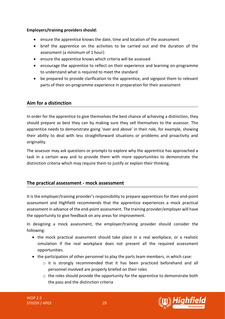#### **Employers/training providers should:**

- ensure the apprentice knows the date, time and location of the assessment
- brief the apprentice on the activities to be carried out and the duration of the assessment (a minimum of 1 hour)
- ensure the apprentice knows which criteria will be assessed
- encourage the apprentice to reflect on their experience and learning on-programme to understand what is required to meet the standard
- be prepared to provide clarification to the apprentice, and signpost them to relevant parts of their on-programme experience in preparation for their assessment

## **Aim for a distinction**

In order for the apprentice to give themselves the best chance of achieving a distinction, they should prepare as best they can by making sure they sell themselves to the assessor. The apprentice needs to demonstrate going 'over and above' in their role, for example, showing their ability to deal with less straightforward situations or problems and proactivity and originality.

The assessor may ask questions or prompts to explore why the apprentice has approached a task in a certain way and to provide them with more opportunities to demonstrate the distinction criteria which may require them to justify or explain their thinking.

## **The practical assessment - mock assessment**

It is the employer/training provider's responsibility to prepare apprentices for their end-point assessment and Highfield recommends that the apprentice experiences a mock practical assessment in advance of the end-point assessment. The training provider/employer will have the opportunity to give feedback on any areas for improvement.

In designing a mock assessment, the employer/training provider should consider the following:

- the mock practical assessment should take place in a real workplace, or a realistic simulation if the real workplace does not present all the required assessment opportunities.
- the participation of other personnel to play the parts team members, in which case:
	- o it is strongly recommended that it has been practiced beforehand and all personnel involved are properly briefed on their roles
	- $\circ$  the roles should provide the opportunity for the apprentice to demonstrate both the pass and the distinction criteria

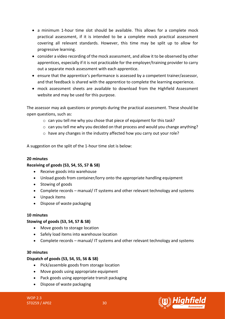- a minimum 1-hour time slot should be available. This allows for a complete mock practical assessment, if it is intended to be a complete mock practical assessment covering all relevant standards. However, this time may be split up to allow for progressive learning.
- consider a video recording of the mock assessment, and allow it to be observed by other apprentices, especially if it is not practicable for the employer/training provider to carry out a separate mock assessment with each apprentice.
- ensure that the apprentice's performance is assessed by a competent trainer/assessor, and that feedback is shared with the apprentice to complete the learning experience.
- mock assessment sheets are available to download from the Highfield Assessment website and may be used for this purpose.

The assessor may ask questions or prompts during the practical assessment. These should be open questions, such as:

- o can you tell me why you chose that piece of equipment for this task?
- $\circ$  can you tell me why you decided on that process and would you change anything?
- o have any changes in the industry affected how you carry out your role?

A suggestion on the split of the 1-hour time slot is below:

## **20 minutes**

#### **Receiving of goods (S3, S4, S5, S7 & S8)**

- Receive goods into warehouse
- Unload goods from container/lorry onto the appropriate handling equipment
- Stowing of goods
- Complete records manual/ IT systems and other relevant technology and systems
- Unpack items
- Dispose of waste packaging

#### **10 minutes**

#### **Stowing of goods (S3, S4, S7 & S8)**

- Move goods to storage location
- Safely load items into warehouse location
- Complete records manual/ IT systems and other relevant technology and systems

#### **30 minutes**

#### **Dispatch of goods (S3, S4, S5, S6 & S8)**

- Pick/assemble goods from storage location
- Move goods using appropriate equipment
- Pack goods using appropriate transit packaging
- Dispose of waste packaging

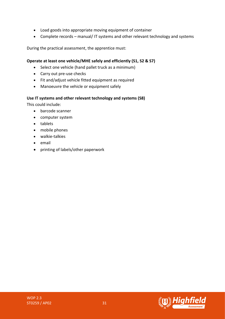- Load goods into appropriate moving equipment of container
- Complete records manual/ IT systems and other relevant technology and systems

During the practical assessment, the apprentice must:

#### **Operate at least one vehicle/MHE safely and efficiently (S1, S2 & S7)**

- Select one vehicle (hand pallet truck as a minimum)
- Carry out pre-use checks
- Fit and/adjust vehicle fitted equipment as required
- Manoeuvre the vehicle or equipment safely

#### **Use IT systems and other relevant technology and systems (S8)**

This could include:

- barcode scanner
- computer system
- tablets
- mobile phones
- walkie-talkies
- email
- printing of labels/other paperwork

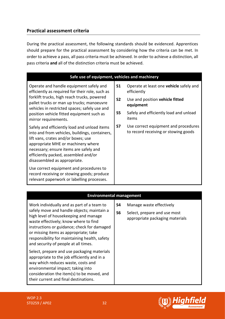## **Practical assessment criteria**

During the practical assessment, the following standards should be evidenced. Apprentices should prepare for the practical assessment by considering how the criteria can be met. In order to achieve a pass, all pass criteria must be achieved. In order to achieve a distinction, all pass criteria **and** all of the distinction criteria must be achieved.

| Safe use of equipment, vehicles and machinery                                                                                                                                                                                                                                                                |                |                                                                              |  |
|--------------------------------------------------------------------------------------------------------------------------------------------------------------------------------------------------------------------------------------------------------------------------------------------------------------|----------------|------------------------------------------------------------------------------|--|
| Operate and handle equipment safely and<br>efficiently as required for their role, such as<br>forklift trucks, high reach trucks, powered<br>pallet trucks or man up trucks; manoeuvre<br>vehicles in restricted spaces; safely use and<br>position vehicle fitted equipment such as<br>mirror requirements. | S <sub>1</sub> | Operate at least one <b>vehicle</b> safely and<br>efficiently                |  |
|                                                                                                                                                                                                                                                                                                              | S <sub>2</sub> | Use and position vehicle fitted<br>equipment                                 |  |
|                                                                                                                                                                                                                                                                                                              | <b>S5</b>      | Safely and efficiently load and unload<br>items                              |  |
| Safely and efficiently load and unload items<br>into and from vehicles, buildings, containers,<br>lift vans, crates and/or boxes; use<br>appropriate MHE or machinery where<br>necessary; ensure items are safely and<br>efficiently packed, assembled and/or<br>disassembled as appropriate.                | <b>S7</b>      | Use correct equipment and procedures<br>to record receiving or stowing goods |  |
| Use correct equipment and procedures to<br>record receiving or stowing goods; produce<br>relevant paperwork or labelling processes.                                                                                                                                                                          |                |                                                                              |  |

## **Environmental management**

| Work individually and as part of a team to<br>safely move and handle objects; maintain a<br>high level of housekeeping and manage<br>waste effectively; know where to find<br>instructions or guidance; check for damaged<br>or missing items as appropriate; take<br>responsibility for maintaining health, safety<br>and security of people at all times. | S4<br>S <sub>6</sub> | Manage waste effectively<br>Select, prepare and use most<br>appropriate packaging materials |
|-------------------------------------------------------------------------------------------------------------------------------------------------------------------------------------------------------------------------------------------------------------------------------------------------------------------------------------------------------------|----------------------|---------------------------------------------------------------------------------------------|
| Select, prepare and use packaging materials<br>appropriate to the job efficiently and in a<br>way which reduces waste, costs and<br>environmental impact; taking into<br>consideration the item(s) to be moved, and<br>their current and final destinations.                                                                                                |                      |                                                                                             |